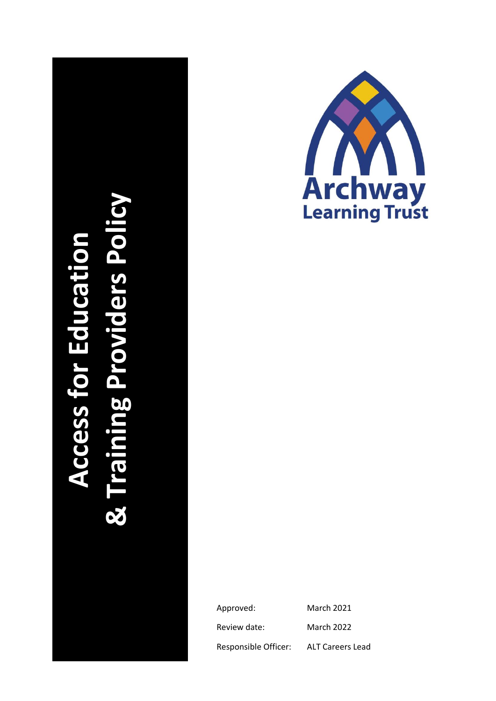



Approved: March 2021 Review date: March 2022 Responsible Officer: ALT Careers Lead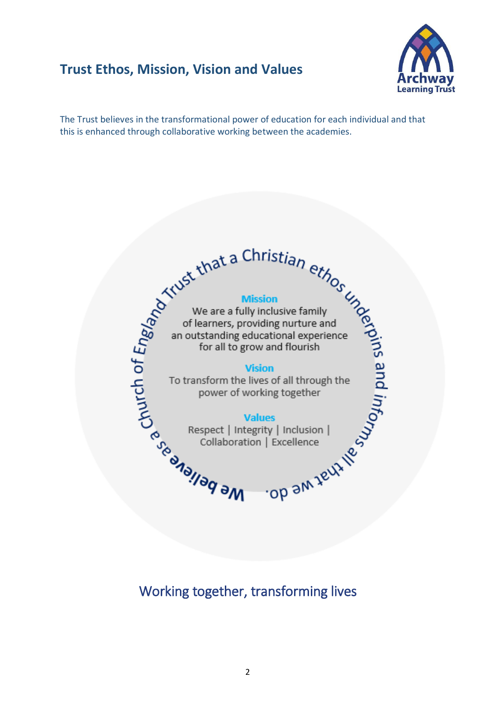# **Trust Ethos, Mission, Vision and Values**



The Trust believes in the transformational power of education for each individual and that this is enhanced through collaborative working between the academies.

Exercise the Second Property of Barnets, providing nurture and<br>
Second of learners, providing nurture and<br>
an outstanding educational experience<br>
for all to grow and flourish<br>
To transform the lives of all through the<br>
pow

# Working together, transforming lives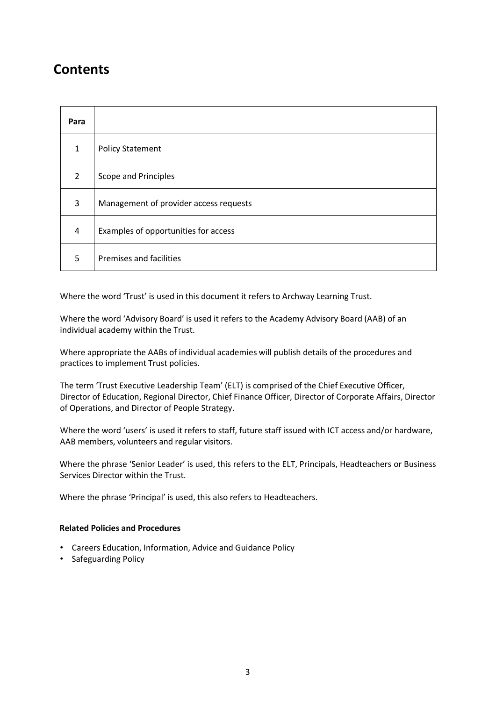# **Contents**

| Para         |                                        |
|--------------|----------------------------------------|
| $\mathbf{1}$ | <b>Policy Statement</b>                |
| 2            | Scope and Principles                   |
| 3            | Management of provider access requests |
| 4            | Examples of opportunities for access   |
| 5            | <b>Premises and facilities</b>         |

Where the word 'Trust' is used in this document it refers to Archway Learning Trust.

Where the word 'Advisory Board' is used it refers to the Academy Advisory Board (AAB) of an individual academy within the Trust.

Where appropriate the AABs of individual academies will publish details of the procedures and practices to implement Trust policies.

The term 'Trust Executive Leadership Team' (ELT) is comprised of the Chief Executive Officer, Director of Education, Regional Director, Chief Finance Officer, Director of Corporate Affairs, Director of Operations, and Director of People Strategy.

Where the word 'users' is used it refers to staff, future staff issued with ICT access and/or hardware, AAB members, volunteers and regular visitors.

Where the phrase 'Senior Leader' is used, this refers to the ELT, Principals, Headteachers or Business Services Director within the Trust.

Where the phrase 'Principal' is used, this also refers to Headteachers.

### **Related Policies and Procedures**

- Careers Education, Information, Advice and Guidance Policy
- Safeguarding Policy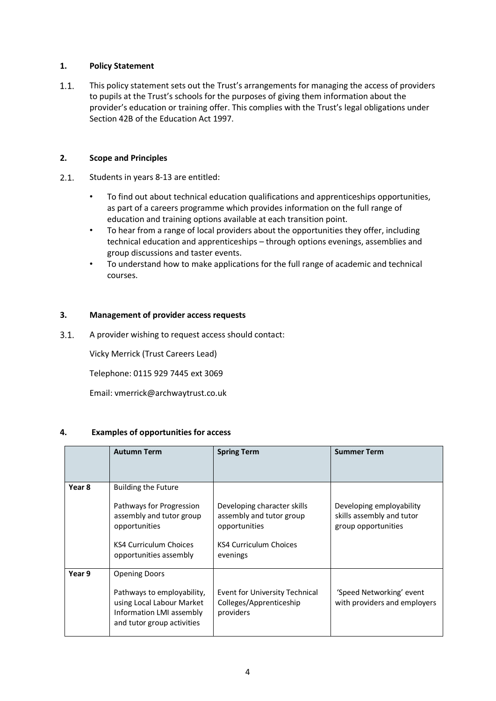## **1. Policy Statement**

 $1.1.$ This policy statement sets out the Trust's arrangements for managing the access of providers to pupils at the Trust's schools for the purposes of giving them information about the provider's education or training offer. This complies with the Trust's legal obligations under Section 42B of the Education Act 1997.

## **2. Scope and Principles**

- $2.1.$ Students in years 8-13 are entitled:
	- To find out about technical education qualifications and apprenticeships opportunities, as part of a careers programme which provides information on the full range of education and training options available at each transition point.
	- To hear from a range of local providers about the opportunities they offer, including technical education and apprenticeships – through options evenings, assemblies and group discussions and taster events.
	- To understand how to make applications for the full range of academic and technical courses.

## **3. Management of provider access requests**

 $3.1.$ A provider wishing to request access should contact:

Vicky Merrick (Trust Careers Lead)

Telephone: 0115 929 7445 ext 3069

Email: vmerrick@archwaytrust.co.uk

### **4. Examples of opportunities for access**

|        | <b>Autumn Term</b>                                                                                                                                      | <b>Spring Term</b>                                                                                             | <b>Summer Term</b>                                                           |
|--------|---------------------------------------------------------------------------------------------------------------------------------------------------------|----------------------------------------------------------------------------------------------------------------|------------------------------------------------------------------------------|
| Year 8 | <b>Building the Future</b><br>Pathways for Progression<br>assembly and tutor group<br>opportunities<br>KS4 Curriculum Choices<br>opportunities assembly | Developing character skills<br>assembly and tutor group<br>opportunities<br>KS4 Curriculum Choices<br>evenings | Developing employability<br>skills assembly and tutor<br>group opportunities |
| Year 9 | <b>Opening Doors</b><br>Pathways to employability,<br>using Local Labour Market<br>Information LMI assembly<br>and tutor group activities               | Event for University Technical<br>Colleges/Apprenticeship<br>providers                                         | 'Speed Networking' event<br>with providers and employers                     |